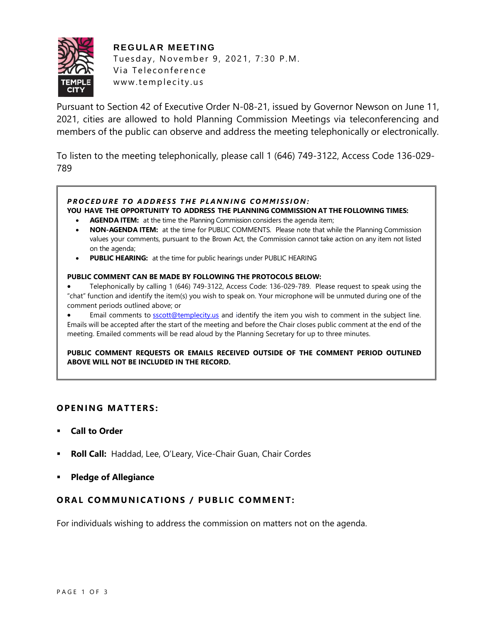

**REGULAR MEETING** Tuesday, November 9, 2021, 7:30 P.M. Via Teleconference www.templecity.us

Pursuant to Section 42 of Executive Order N-08-21, issued by Governor Newson on June 11, 2021, cities are allowed to hold Planning Commission Meetings via teleconferencing and members of the public can observe and address the meeting telephonically or electronically.

To listen to the meeting telephonically, please call 1 (646) 749-3122, Access Code 136-029- 789

## **PROCEDURE TO ADDRESS THE PLANNING COMMISSION:**

**YOU HAVE THE OPPORTUNITY TO ADDRESS THE PLANNING COMMISSION AT THE FOLLOWING TIMES:**

- **AGENDA ITEM:** at the time the Planning Commission considers the agenda item;
- **NON-AGENDA ITEM:** at the time for PUBLIC COMMENTS. Please note that while the Planning Commission values your comments, pursuant to the Brown Act, the Commission cannot take action on any item not listed on the agenda;
- **PUBLIC HEARING:** at the time for public hearings under PUBLIC HEARING

#### **PUBLIC COMMENT CAN BE MADE BY FOLLOWING THE PROTOCOLS BELOW:**

- Telephonically by calling 1 (646) 749-3122, Access Code: 136-029-789. Please request to speak using the "chat" function and identify the item(s) you wish to speak on. Your microphone will be unmuted during one of the comment periods outlined above; or
- Email comments to **[sscott@templecity.us](mailto:sscott@templecity.us)** and identify the item you wish to comment in the subject line. Emails will be accepted after the start of the meeting and before the Chair closes public comment at the end of the meeting. Emailed comments will be read aloud by the Planning Secretary for up to three minutes.

**PUBLIC COMMENT REQUESTS OR EMAILS RECEIVED OUTSIDE OF THE COMMENT PERIOD OUTLINED ABOVE WILL NOT BE INCLUDED IN THE RECORD.**

## **OPEN ING MAT TERS :**

- **Call to Order**
- Roll Call: Haddad, Lee, O'Leary, Vice-Chair Guan, Chair Cordes
- **Pledge of Allegiance**

# **ORAL COMMUNICATIONS / PUBLIC COMMENT:**

For individuals wishing to address the commission on matters not on the agenda.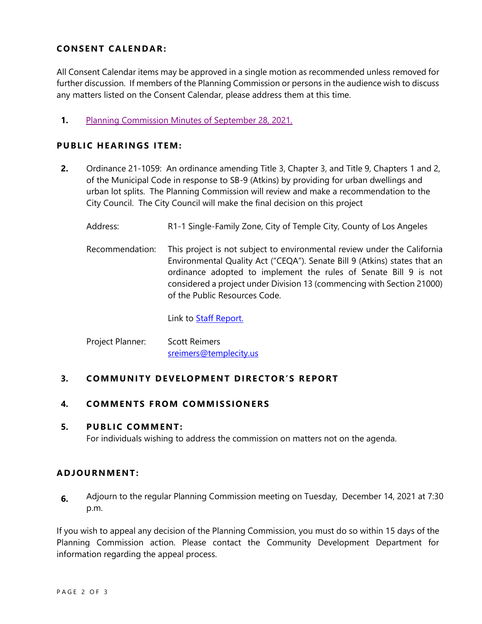# **CONSENT CA LENDAR:**

All Consent Calendar items may be approved in a single motion as recommended unless removed for further discussion. If members of the Planning Commission or persons in the audience wish to discuss any matters listed on the Consent Calendar, please address them at this time.

**1.** [Planning Commission Minutes of September 28, 2021.](https://www.ci.temple-city.ca.us/DocumentCenter/View/16965/PCM-9-28-Minutes)

## **PUBLIC HEARINGS ITEM:**

- **2.** Ordinance 21-1059: An ordinance amending Title 3, Chapter 3, and Title 9, Chapters 1 and 2, of the Municipal Code in response to SB-9 (Atkins) by providing for urban dwellings and urban lot splits. The Planning Commission will review and make a recommendation to the City Council. The City Council will make the final decision on this project
	- Address: R1-1 Single-Family Zone, City of Temple City, County of Los Angeles
	- Recommendation: This project is not subject to environmental review under the California Environmental Quality Act ("CEQA"). Senate Bill 9 (Atkins) states that an ordinance adopted to implement the rules of Senate Bill 9 is not considered a project under Division 13 (commencing with Section 21000) of the Public Resources Code.

Link to **Staff Report.** 

| Project Planner: | <b>Scott Reimers</b>   |
|------------------|------------------------|
|                  | sreimers@templecity.us |

## **3. COMMUNITY DEVELOPMENT DIRECTOR'S REPORT**

## **4. COMMEN TS F ROM COMM ISSIONE RS**

#### **5. PUBLIC COMMENT:**

For individuals wishing to address the commission on matters not on the agenda.

## **ADJOU RNMENT:**

**6.** Adjourn to the regular Planning Commission meeting on Tuesday, December 14, 2021 at 7:30 p.m.

If you wish to appeal any decision of the Planning Commission, you must do so within 15 days of the Planning Commission action. Please contact the Community Development Department for information regarding the appeal process.